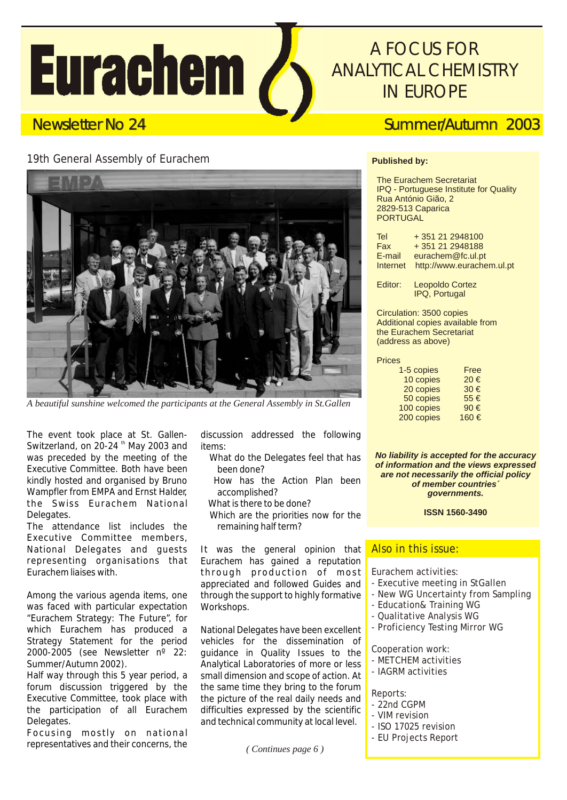# **Eurachem /**

# *A FOCUS FOR ANALYTICAL CHEMISTRY IN EUROPE*

# Newsletter No 24 Summer/Autumn 2003

## 19th General Assembly of Eurachem



*A beautiful sunshine welcomed the participants at the General Assembly in St.Gallen*

The event took place at St. Gallen- discussion addressed the following Switzerland, on 20-24  $^{\text{th}}$  May 2003 and items:<br>was preceded by the meeting of the What do the Delegates feel that has was preceded by the meeting of the Executive Committee. Both have been been done? kindly hosted and organised by Bruno How has the Action Plan been Wampfler from EMPA and Ernst Halder, accomplished? the Swiss Eurachem National What is there to be done? Delegates. Which are the priorities now for the

The attendance list includes the remaining half term? Executive Committee members, National Delegates and guests It was the general opinion that representing organisations that Eurachem has gained a reputation representing organisations that Eurachem has gained a reputation

Among the various agenda items, one through the support to highly formative was faced with particular expectation Workshops. "Eurachem Strategy: The Future", for which Eurachem has produced a National Delegates have been excellent Strategy Statement for the period vehicles for the dissemination of 2000-2005 (see Newsletter nº 22: guidance in Quality Issues to the

Half way through this 5 year period, a forum discussion triggered by the Executive Committee, took place with the picture of the real daily needs and the participation of all Eurachem difficulties expressed by the scientific Delegates. **Delegates** and technical community at local level.

Focusing mostly on national representatives and their concerns, the

- 
- 
- 
- 

through production of most appreciated and followed Guides and

Summer/Autumn 2002).<br>Half way through this 5 year period, a small dimension and scope of action. At the same time they bring to the forum

#### **Published by:**

 The Eurachem Secretariat IPQ - Portuguese Institute for Quality Rua António Gião, 2 2829-513 Caparica PORTUGAL

| +351 21 2948100<br><b>Tel</b>         |  |
|---------------------------------------|--|
| +351 21 2948188<br>Fax                |  |
| eurachem@fc.ul.pt<br>E-mail           |  |
| http://www.eurachem.ul.pt<br>Internet |  |

 Editor: Leopoldo Cortez IPQ, Portugal

 Circulation: 3500 copies Additional copies available from the Eurachem Secretariat (address as above)

| <b>Prices</b> |
|---------------|
|---------------|

| 1-5 copies | Free |
|------------|------|
| 10 copies  | 20€  |
| 20 copies  | 30€  |
| 50 copies  | 55€  |
| 100 copies | 90€  |
| 200 copies | 160€ |
|            |      |

*No liability is accepted for the accuracy of information and the views expressed are not necessarily the official policy of member countries´ governments.*

**ISSN 1560-3490**

#### Also in this issue:

Eurachem activities:

- Executive meeting in StGallen
- New WG Uncertainty from Sampling
- Education& Training WG
- Qualitative Analysis WG
- Proficiency Testing Mirror WG

Cooperation work:

- METCHEM activities
- IAGRM activities

Reports:

- 22nd CGPM
- VIM revision
- ISO 17025 revision
- EU Projects Report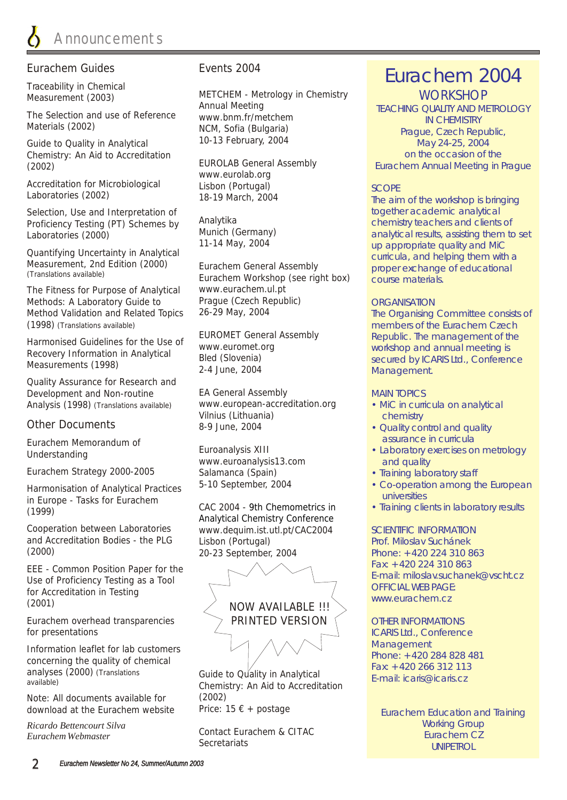#### Eurachem Guides

Traceability in Chemical Measurement (2003)

The Selection and use of Reference Materials (2002)

Guide to Quality in Analytical Chemistry: An Aid to Accreditation (2002)

Accreditation for Microbiological Laboratories (2002)

Selection, Use and Interpretation of Proficiency Testing (PT) Schemes by Laboratories (2000)

Quantifying Uncertainty in Analytical Measurement, 2nd Edition (2000) (Translations available)

The Fitness for Purpose of Analytical Methods: A Laboratory Guide to Method Validation and Related Topics (1998) (Translations available)

Harmonised Guidelines for the Use of Recovery Information in Analytical Measurements (1998)

Quality Assurance for Research and Development and Non-routine Analysis (1998) (Translations available)

#### Other Documents

Eurachem Memorandum of Understanding

Eurachem Strategy 2000-2005

Harmonisation of Analytical Practices in Europe - Tasks for Eurachem (1999)

Cooperation between Laboratories and Accreditation Bodies - the PLG (2000)

EEE - Common Position Paper for the Use of Proficiency Testing as a Tool for Accreditation in Testing (2001)

Eurachem overhead transparencies for presentations

Information leaflet for lab customers concerning the quality of chemical analyses (2000) (Translations available)

Note: All documents available for download at the Eurachem website

*Ricardo Bettencourt Silva Eurachem Webmaster*

#### Events 2004

METCHEM - Metrology in Chemistry Annual Meeting www.bnm.fr/metchem NCM, Sofia (Bulgaria) 10-13 February, 2004

EUROLAB General Assembly www.eurolab.org Lisbon (Portugal) 18-19 March, 2004

Analytika Munich (Germany) 11-14 May, 2004

Eurachem General Assembly Eurachem Workshop (see right box) www.eurachem.ul.pt Prague (Czech Republic) 26-29 May, 2004

EUROMET General Assembly www.euromet.org Bled (Slovenia) 2-4 June, 2004

EA General Assembly www.european-accreditation.org Vilnius (Lithuania) 8-9 June, 2004

Euroanalysis XIII www.euroanalysis13.com Salamanca (Spain) 5-10 September, 2004

CAC 2004 - 9th Chemometrics in www.dequim.ist.utl.pt/CAC2004 Lisbon (Portugal) 20-23 September, 2004 Analytical Chemistry Conference



Price:  $15 \in +$  postage Guide to Quality in Analytical Chemistry: An Aid to Accreditation (2002)

Contact Eurachem & CITAC **Secretariats** 

# Eurachem 2004

**WORKSHOP** TEACHING QUALITY AND METROLOGY IN CHEMISTRY Prague, Czech Republic, May 24-25, 2004 on the occasion of the Eurachem Annual Meeting in Prague

#### SCOPE

The aim of the workshop is bringing together academic analytical chemistry teachers and clients of analytical results, assisting them to set up appropriate quality and MiC curricula, and helping them with a proper exchange of educational course materials.

#### **ORGANISATION**

The Organising Committee consists of members of the Eurachem Czech Republic. The management of the workshop and annual meeting is secured by ICARIS Ltd., Conference Management.

#### MAIN TOPICS

- MiC in curricula on analytical chemistry
- Quality control and quality assurance in curricula
- Laboratory exercises on metrology and quality
- Training laboratory staff
- Co-operation among the European universities
- Training clients in laboratory results

SCIENTIFIC INFORMATION Prof. Miloslav Suchánek Phone: +420 224 310 863 Fax: +420 224 310 863 E-mail: miloslav.suchanek@vscht.cz OFFICIAL WEB PAGE: www.eurachem.cz

#### OTHER INFORMATIONS

ICARIS Ltd., *Conference Management* Phone: +420 284 828 481 Fax: +420 266 312 113 E-mail: icaris@icaris.cz

Eurachem Education and Training Working Group Eurachem CZ UNIPETROL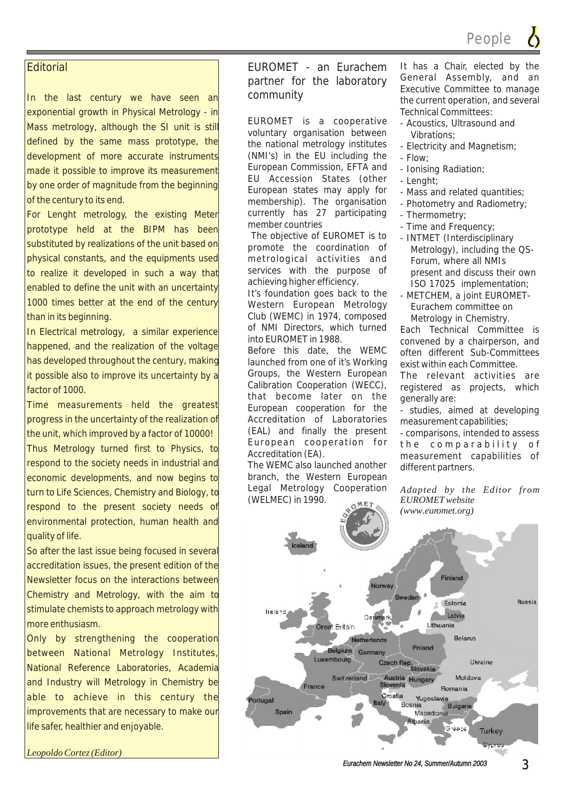#### **Editorial**

In the last century we have seen an exponential growth in Physical Metrology - in Mass metrology, although the SI unit is still defined by the same mass prototype, the development of more accurate instruments made it possible to improve its measurement by one order of magnitude from the beginning of the century to its end.

For Lenght metrology, the existing Meter prototype held at the BIPM has been substituted by realizations of the unit based on physical constants, and the equipments used to realize it developed in such a way that enabled to define the unit with an uncertainty 1000 times better at the end of the century than in its beginning.

In Electrical metrology, a similar experience happened, and the realization of the voltage has developed throughout the century, making it possible also to improve its uncertainty by a factor of 1000.

Time measurements held the greatest progress in the uncertainty of the realization of the unit, which improved by a factor of 10000! Thus Metrology turned first to Physics, to respond to the society needs in industrial and economic developments, and now begins to turn to Life Sciences, Chemistry and Biology, to respond to the present society needs of environmental protection, human health and quality of life.

So after the last issue being focused in several accreditation issues, the present edition of the Newsletter focus on the interactions between Chemistry and Metrology, with the aim to stimulate chemists to approach metrology with more enthusiasm.

Only by strengthening the cooperation between National Metrology Institutes, National Reference Laboratories, Academia and Industry will Metrology in Chemistry be able to achieve in this century the improvements that are necessary to make our life safer, healthier and enjoyable.

*Leopoldo Cortez (Editor)*

partner for the laboratory General Assembly, and an partner for the laboratory General Assembly, and an

EUROMET is a cooperative - Acoustics, Ultrasound and voluntary organisation between vibrations; the national metrology institutes - Electricity and Magnetism; (NMI's) in the EU including the  $-$  Flow: European Commission, EFTA and - Ionising Radiation; EU Accession States (other - Lenght; European states may apply for - Mass and related quantities; membership). The organisation - Photometry and Radiometry; currently has 27 participating - Thermometry;<br>member countries - Time and Freq

The objective of EUROMET is to - INTMET (Interdisciplinary<br>promote the coordination of Metrology) including the metrological activities and Forum, where all NMIs services with the purpose of present and discuss their own<br>achieving higher efficiency. achieving higher efficiency.<br>It's foundation goes back to the LANFTCHEM a joint FUROMET.

Western European Metrology Eurachem committee on Club (WEMC) in 1974, composed<br>of NMI Directors, which turned Fach Technical Commit of NMI Directors, which turned Each Technical Committee is<br>into EUROMET in 1988.

launched from one of it's Working exist within each Committee. Groups, the Western European The relevant activities are<br>Calibration Cooperation (WECC), registered as projects which that become later on the generally are:<br>European cooperation for the  $\frac{1}{2}$  studies air Accreditation of Laboratories measurement capabilities;<br>(EAL) and finally the present - comparisons intended to (EAL) and finally the present - comparisons, intended to assess<br>European cooperation for the comparability of European cooperation for the comparability of<br>Accreditation(EA), accreditation of the comparation

The WEMC also launched another different partners. branch, the Western European Legal Metrology Cooperation *Adapted by the Editor from*  (WELMEC) in 1990. *EUROMET website*

EUROMET - an Eurachem It has a Chair, elected by the<br>nartner for the Jahoratory. General Assembly, and an Executive Committee to manage community the current operation, and several Technical Committees:

- 
- 
- 
- 
- 
- 
- 
- 
- Time and Frequency;
- Metrology), including the QS-
- METCHEM, a joint EUROMET-

into EUROMET in 1988.<br>Before this date, the WEMC often different Sub-Committees often different Sub-Committees

registered as projects, which

- studies, aimed at developing

measurement capabilities of

*(www.euromet.org)*

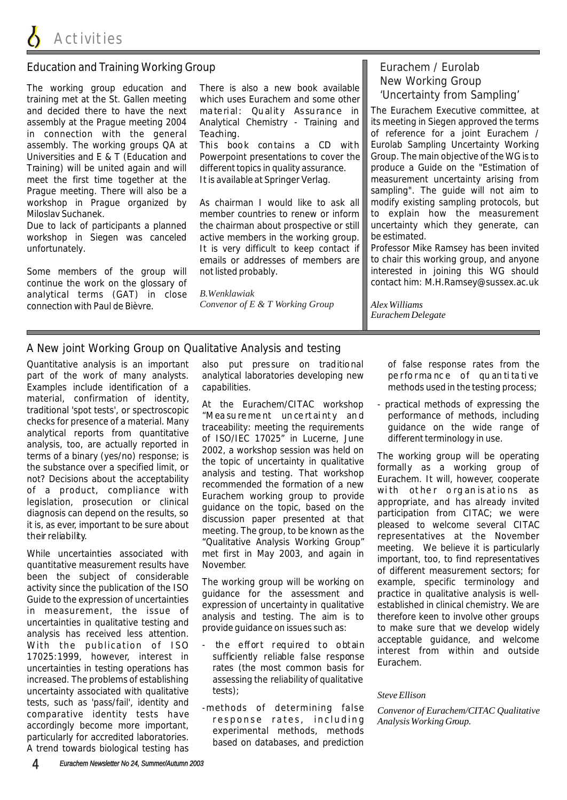#### Education and Training Working Group

The working group education and There is also a new book available training met at the St. Gallen meeting which uses Eurachem and some other and decided there to have the next material: Quality Assurance in assembly at the Prague meeting 2004 Analytical Chemistry - Training and in connection with the general Teaching. assembly. The working groups QA at This book contains a CD with Universities and E & T (Education and Powerpoint presentations to cover the Training) will be united again and will different topics in quality assurance. meet the first time together at the It is available at Springer Verlag. Prague meeting. There will also be a workshop in Prague organized by As chairman I would like to ask all Miloslav Suchanek. member countries to renew or inform

Due to lack of participants a planned the chairman about prospective or still workshop in Siegen was canceled active members in the working group. unfortunately. It is very difficult to keep contact if

Some members of the group will not listed probably. continue the work on the glossary of analytical terms (GAT) in close connection with Paul de Bièvre.

material: Quality As surance in

emails or addresses of members are

*B.Wenklawiak Convenor of E & T Working Group*

### Eurachem / Eurolab New Working Group 'Uncertainty from Sampling'

The Eurachem Executive committee, at its meeting in Siegen approved the terms of reference for a joint Eurachem / Eurolab Sampling Uncertainty Working Group. The main objective of the WG is to produce a Guide on the "Estimation of measurement uncertainty arising from sampling". The guide will not aim to modify existing sampling protocols, but to explain how the measurement uncertainty which they generate, can be estimated.

Professor Mike Ramsey has been invited to chair this working group, and anyone interested in joining this WG should contact him: M.H.Ramsey@sussex.ac.uk

*Alex Williams Eurachem Delegate*

#### A New joint Working Group on Qualitative Analysis and testing

Quantitative analysis is an important also put pres sure on traditional of false response rates from the

increased. The problems of establishing assessing the reliability of qualitative uncertainty associated with qualitative tests);<br>tests, such as 'pass/fail', identity and tests, such as 'pass/fail', identity and<br>
comparative identity tests have<br>
accordingly become more important,<br>
particularly for accredited laboratories.<br>
A trend towards biological testing has<br>
A trend towards biological t

part of the work of many analysts. analytical laboratories developing new performance of quan tita tive Examples include identification of a capabilities. The methods used in the testing process;

- 
- 

material, confirmation of identity and the Eurachem/CITAC workshop - practical methods of expressing the checks for presence of a material Many throus aurement uncertainty and performance of methods, including<br>analytical r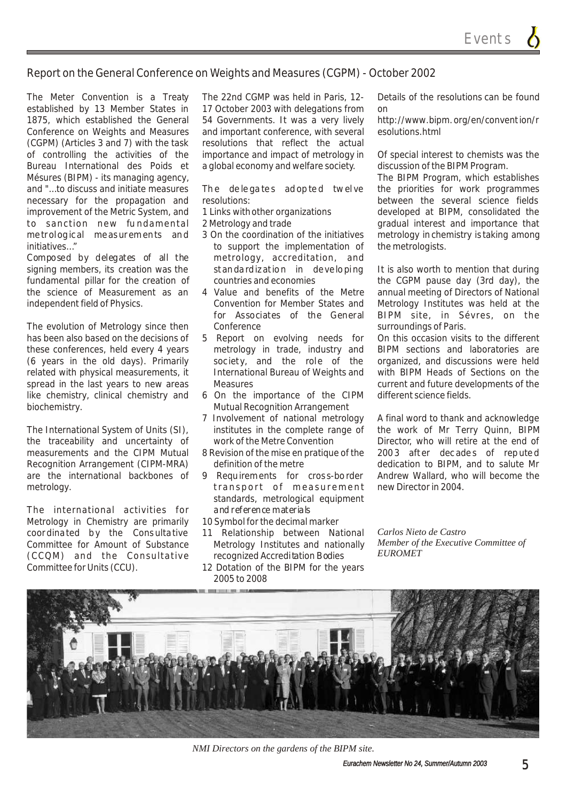#### Report on the General Conference on Weights and Measures (CGPM) - October 2002

established by 13 Member States in 17 October 2003 with delegations from on 1875, which established the General 54 Governments. It was a very lively http://www.bipm.org/en/convention/r Conference on Weights and Measures and important conference, with several esolutions.html (CGPM) (Articles 3 and 7) with the task resolutions that reflect the actual of controlling the activities of the importance and impact of metrology in Of special interest to chemists was the Bureau International des Poids et a global economy and welfare society. discussion of the BIPM Program. Mésures (BIPM) - its managing agency, The BIPM Program, which establishes and "...to discuss and initiate measures The delegates ad opted twelve the priorities for work programmes necessary for the propagation and resolutions: between the several science fields improvement of the Metric System, and 1 Links with other organizations developed at BIPM, consolidated the to sanction new fundamental 2 Metrology and trade **gradual interest and importance that** metrological measurements and 3 On the coordination of the initiatives metrology in chemistry is taking among initiatives..." **to support the implementation of the metrologists.** 

signing members, its creation was the standardization in developing It is also worth to mention that during fundamental pillar for the creation of countries and economies the CGPM pause day (3rd day), the the science of Measurement as an 4 Value and benefits of the Metre annual meeting of Directors of National independent field of Physics. Convention for Member States and Metrology Institutes was held at the

The evolution of Metrology since then Conference<br>has been also based on the decisions of 5 Report on evolving needs for On this occasion visits to the different has been also based on the decisions of 5 Report on evolving needs for these conferences, held every 4 years metrology in trade, industry and BIPM sections and laboratories are (6 years in the old days). Primarily soc iety, and the role of the organized, and discussions were held related with physical measurements, it International Bureau of Weights and with BIPM Heads of Sections on the spread in the last years to new areas Measures Measures current and future developments of the like chemistry, clinical chemistry and 6 On the importance of the CIPM different science fields. biochemistry. The matrix of the Mutual Recognition Arrangement

The International System of Units (SI), institutes in the complete range of the work of Mr Terry Quinn, BIPM<br>the traceability and uncertainty of work of the Metre Convention Director, who will retire at the end of the traceability and uncertainty of work of the Metre Convention Director, who will retire at the end of measurements and the CIPM Mutual 8 Revision of the mise en pratique of the 2003 after decades of reputed Recognition Arrangement (CIPM-MRA) definition of the metre dedication to BIPM, and to salute Mr are the international backbones of 9 Requirements for cros s-border Andrew Wallard, who will become the metrology. transport of measurement new Director in 2004.

The international activities for and reference materials Metrology in Chemistry are primarily 10 Symbol for the decimal marker coordina ted by the Consulta tive 11 Relationship between National *Carlos Nieto de Castro (CCQM)* and the Consultative recognized Accreditation Bodies Committee for Units (CCU). 12 Dotation of the BIPM for the years

The Meter Convention is a Treaty The 22nd CGMP was held in Paris, 12- Details of the resolutions can be found

- 
- 
- Composed by delegates of all the metrology, accreditation, and
	-
	-
	-
	- 7 Involvement of national metrology A final word to thank and acknowledge
	-
	- standards, metrological equipment
	-
- Committee for Amount of Substance Metrology Institutes and nationally *Member of t*<br>CCCOM) and the Consultative commized correlitation Pedies EUROMET
	- 2005 to 2008

for Associates of the General BIPM site, in Sévres, on the

8 Revision of the mise en pratique of the 2003 aft er dec ade s of rep ute d



*NMI Directors on the gardens of the BIPM site.*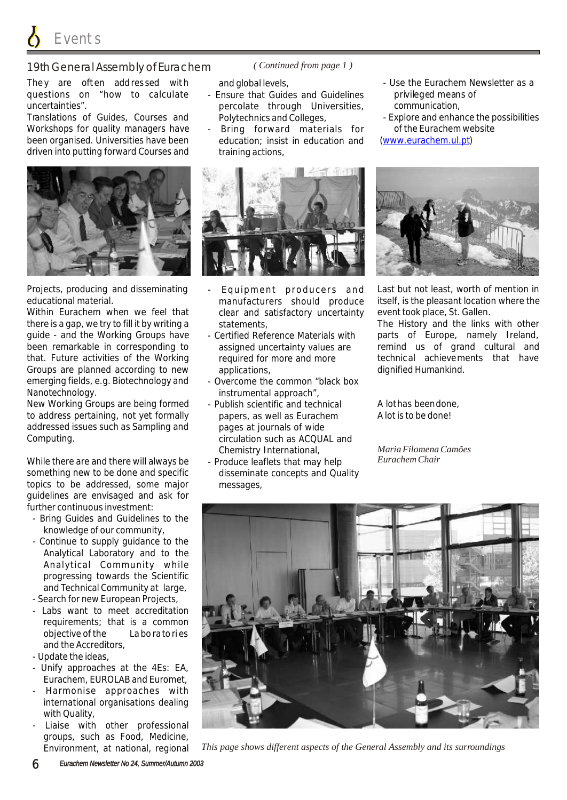Events

#### 19th General Assembly of Eurachem

They are often addressed with and global levels, and the surface of the Eurachem Newsletter as a questions on "how to calculate - Ensure that Guides and Guidelines privileged means of uncertainties". percolate through Universities, communication,

Workshops for quality managers have - Bring forward materials for of the Eurachem website been organised. Universities have been education; insist in education and driven into putting forward Courses and training actions,



Within Eurachem when we feel that clear and satisfactory uncertainty event took place, St. Gallen. there is a gap, we try to fill it by writing a statements, The History and the links with other guide - and the Working Groups have - Certified Reference Materials with parts of Europe, namely Ireland, been remarkable in corresponding to assigned uncertainty values are remind us of grand cultural and that. Future activities of the Working required for more and more technical achievements that have Groups are planned according to new applications, the manner of dignified Humankind. emerging fields, e.g. Biotechnology and - Overcome the common "black box Nanotechnology.<br>New Working Groups are being formed - Publish scientific and technical

New Working Groups are being formed - Publish scientific and technical A lot has been done, to address pertaining, not yet formally papers, as well as Eurachem A lot is to be done! addressed issues such as Sampling and pages at journals of wide Computing. Computing.

While there are and there will always be - Produce leaflets that may help something new to be done and specific disseminate concepts and Quality topics to be addressed, some major messages, guidelines are envisaged and ask for further continuous investment:

- Bring Guides and Guidelines to the knowledge of our community,
- Continue to supply guidance to the Analytical Laboratory and to the Analytical Community while progressing towards the Scientific and Technical Community at large,

- Search for new European Projects,

- Labs want to meet accreditation requirements; that is a common objective of the La bo rato ri es and the Accreditors,

- Update the ideas,

- Unify approaches at the 4Es: EA, Eurachem, EUROLAB and Euromet,
- Harmonise approaches with international organisations dealing with Quality,
- Liaise with other professional groups, such as Food, Medicine, Environment, at national, regional

*( Continued from page 1 )*

- 
- 



- 
- 
- 
- Chemistry International,
- 
- 
- Translations of Guides, Courses and Polytechnics and Colleges, explore and enhance the possibilities www.eurachem.ul.pt



Projects, producing and disseminating - Equipment producers and Last but not least, worth of mention in educational material. manufacturers should produce itself, is the pleasant location where the

*Maria Filomena Camões Eurachem Chair*



*This page shows different aspects of the General Assembly and its surroundings*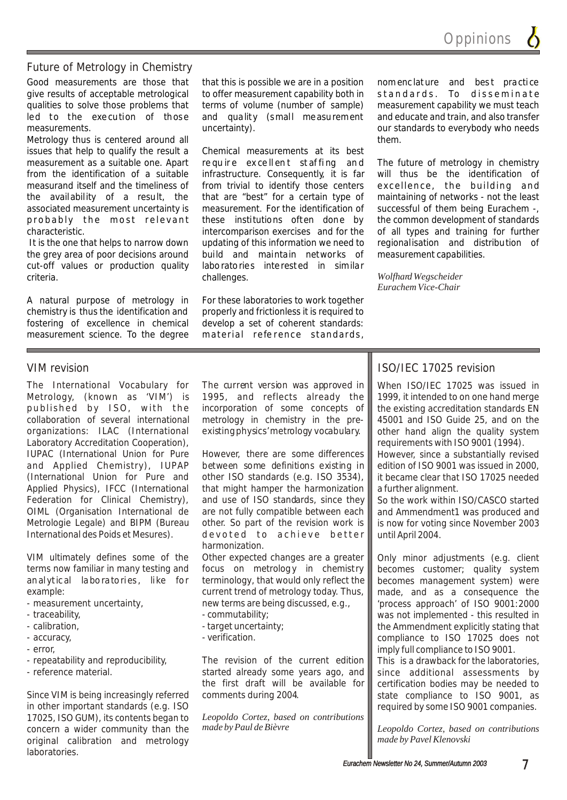**Oppinions** 

#### Future of Metrology in Chemistry

Good measurements are those that that this is possible we are in a position nomenclature and best practice give results of acceptable metrological to offer measurement capability both in standards. To disseminate qualities to solve those problems that terms of volume (number of sample) measurement capability we must teach led to the exe cution of those and quality (small measurement and educate and train, and also transfer measurements. The uncertainty environment our standards to everybody who needs

Metrology thus is centered around all them. issues that help to qualify the result a Chemical measurements at its best

cut-off values or production quality laboratories interested in similar criteria. **challenges**.

A natural purpose of metrology in For these laboratories to work together chemistry is thus the identification and properly and frictionless it is required to fostering of excellence in chemical develop a set of coherent standards: measurement science. To the degree material reference standards,

measurement as a suitable one. Apart require excellent staffing and The future of metrology in chemistry from the identification of a suitable infrastructure. Consequently, it is far will thus be the identification of measurand itself and the timeliness of from trivial to identify those centers excellence, the building and the availability of a result, the that are "best" for a certain type of maintaining of networks - not the least the availability of a result, the that are "best" for a certain type of maintaining of networks - not the least associated measurement uncertainty is measurement. For the identification of successful of them being Eurachem -, probably the most relevant these institutions often done by the common development of standards characteristic. **intercomparison exercises and for the of all types and training for further**  It is the one that helps to narrow down updating of this information we need to regionalisation and distribution of the grey area of poor decisions around build and maintain networks of measurement capabilities.

*Wolfhard Wegscheider Eurachem Vice-Chair*

Metrology, (known as 'VIM') is 1995, and reflects already the published by ISO, with the incorporation of some concepts of collaboration of several international metrology in chemistry in the preorganizations: ILAC (International existing physics' metrology vocabulary. Laboratory Accreditation Cooperation), IUPAC (International Union for Pure However, there are some differences and Applied Chemistry), IUPAP between some definitions existing in (International Union for Pure and other ISO standards (e.g. ISO 3534), Applied Physics), IFCC (International that might hamper the harmonization Federation for Clinical Chemistry), and use of ISO standards, since they OIML (Organisation International de are not fully compatible between each Metrologie Legale) and BIPM (Bureau other. So part of the revision work is International des Poids et Mesures). de voted to a chieve better

terms now familiar in many testing and focus on metrology in chemistry example: current trend of metrology today. Thus,

- 
- 
- 
- 
- error,
- 
- 

Since VIM is being increasingly referred comments during 2004. in other important standards (e.g. ISO 17025, ISO GUM), its contents began to *Leopoldo Cortez, based on contributions*  concern a wider community than the original calibration and metrology laboratories.

The International Vocabulary for The current version was approved in

harmonization.

VIM ultimately defines some of the Other expected changes are a greater anal ytical laboratories, like for terminology, that would only reflect the - measurement uncertainty, new terms are being discussed, e.g.,

- traceability, example and the commutability;
- calibration, example 20 and the calibration,  $\overline{a}$  target uncertainty;
- accuracy, extending the set of the verification.

- repeatability and reproducibility, The revision of the current edition - reference material.  $\qquad \qquad$  started already some years ago, and the first draft will be available for

#### VIM revision **ISO/IEC 17025** revision

When ISO/IEC 17025 was issued in 1999, it intended to on one hand merge the existing accreditation standards EN 45001 and ISO Guide 25, and on the other hand align the quality system requirements with ISO 9001 (1994).

However, since a substantially revised edition of ISO 9001 was issued in 2000, it became clear that ISO 17025 needed a further alignment.

So the work within ISO/CASCO started and Ammendment1 was produced and is now for voting since November 2003 until April 2004.

Only minor adjustments (e.g. client becomes customer; quality system becomes management system) were made, and as a consequence the 'process approach' of ISO 9001:2000 was not implemented - this resulted in the Ammendment explicitly stating that compliance to ISO 17025 does not imply full compliance to ISO 9001.

This is a drawback for the laboratories, since additional assessments by certification bodies may be needed to state compliance to ISO 9001, as required by some ISO 9001 companies.

*Leopoldo Cortez, based on contributions made by Pavel Klenovski*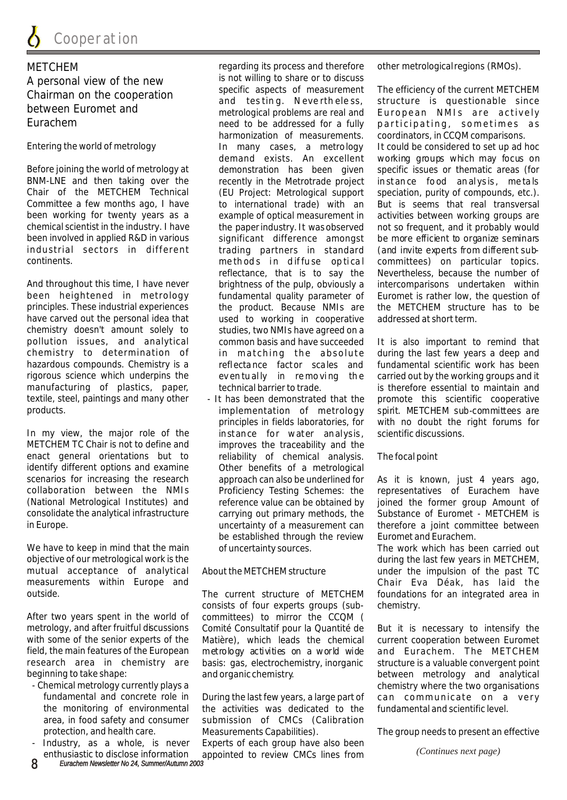A personal view of the new<br>Specific aspects of measurement

BNM-LNE and then taking over the recently in the Metrotrade project instance food analysis, metals Chair of the METCHEM Technical (EU Project: Metrological support speciation, purity of compounds, etc.). Committee a few months ago, I have to international trade) with an But is seems that real transversal been working for twenty years as a example of optical measurement in activities between working groups are chemical scientist in the industry. I have the paper industry. It was observed not so frequent, and it probably would<br>been involved in applied R&D in various significant difference amongst be more efficient to organize sem been involved in applied R&D in various significant difference amongst be more efficient to organize seminars<br>
industrial sectors in different trading partners in standard (and invite experts from different sub-

And throughout this time, I have never brightness of the pulp, obviously a intercomparisons undertaken within been heightened in metrology fundamental quality parameter of Euromet is rather low, the question of principles. These industrial experiences the product. Because NMIs are the METCHEM structure has to be have carved out the personal idea that used to working in cooperative addressed at short term. chemistry doesn't amount solely to studies, two NMIs have agreed on a pollution issues, and analytical common basis and have succeeded It is also important to remind that chemistry to determination of in matching the absolute during the last few years a deep and hazardous compounds. Chemistry is a reflectance factor scales and fundamental scientific work has been rigorous science which underpins the even tu ally in removing the carried out by the working groups and it manufacturing of plastics, paper, technical barrier to trade. is therefore essential to maintain and textile, steel, paintings and many other - It has been demonstrated that the promote this scientific cooperative products. implementation of metrology spirit. METCHEM sub-committees are

In my view, the major role of the instance for water analysis, scientific discussions. METCHEM TC Chair is not to define and improves the traceability and the enact general orientations but to reliability of chemical analysis. The focal point identify different options and examine Other benefits of a metrological scenarios for increasing the research approach can also be underlined for collaboration between the NMIs Proficiency Testing Schemes: the representatives of Eurachem have (National Metrological Institutes) and reference value can be obtained by joined the former group Amount of consolidate the analytical infrastructure carrying out primary methods, the Substance of Euromet - METCHEM is in Europe. uncertainty of a measurement can therefore a joint committee between

We have to keep in mind that the main of uncertainty sources. The work which has been carried out objective of our metrological work is the during the during the last few years in METCHEM. mutual acceptance of analytical About the METCHEM structure and under the impulsion of the past TC<br>measurements within Europe and the structure the chair Eva Déak, has laid the

After two years spent in the world of committees) to mirror the CCQM ( metrology, and after fruitful discussions Comité Consultatif pour la Quantité de But it is necessary to intensify the with some of the senior experts of the Matière), which leads the chemical current cooperation between Euromet field, the main features of the European metrology activities on a world wide and Eurachem. The METCHEM research area in chemistry are basis: gas, electrochemistry, inorganic structure is a valuable convergent point beginning to take shape: and organic chemistry. between metrology and analytical

- 
- 

METCHEM regarding its process and therefore other metrological regions (RMOs).<br>A personal view of the new is not willing to share or to discuss harmonization of measurements. coordinators, in CCQM comparisons.

be established through the review Euromet and Eurachem.

outside. The current structure of METCHEM foundations for an integrated area in consists of four experts groups (sub- chemistry.

fundamental and concrete role in During the last few years, a large part of the monitoring of environmental the activities was dedicated to the fundamental and scientific level. area, in food safety and consumer submission of CMCs (Calibration protection, and health care. Measurements Capabilities). The group needs to present an effective<br>Industry, as a whole, is never Experts of each group have also been

Experts of each group have also been enthusiastic to disclose information appointed to review CMCs lines from *(Continues next page)*

Specific aspects of measurement The efficiency of the current METCHEM<br>Chairman on the cooperation and testing. Nevertheless, structure is questionable since<br>metrological problems are realized. European MMLs are actively between Euromet and metrological problems are real and Euro pean NMIs are actively<br>Furachem need to be addressed for a fully participating, sometimes as Entering the world of metrology In many cases, a metrology It could be considered to set up ad hoc demand exists. An excellent working groups which may focus on Before joining the world of metrology at demonstration has been given specific issues or thematic areas (for trading partners in standard (and invite experts from different subcontinents. The second intervalst continents. The th od state of the od state of the committees) on particular topics. reflectance, that is to say the Nevertheless, because the number of

principles in fields laboratories, for with no doubt the right forums for

approach can also be underlined for As it is known, just 4 years ago,

Chair Eva Déak, has laid the

- Chemical metrology currently plays a<br>fundamental and concrete role in During the last few vears, a large part of can communicate on a verv

*8 Eurachem Newsletter No 24, Summer/Autumn 2003*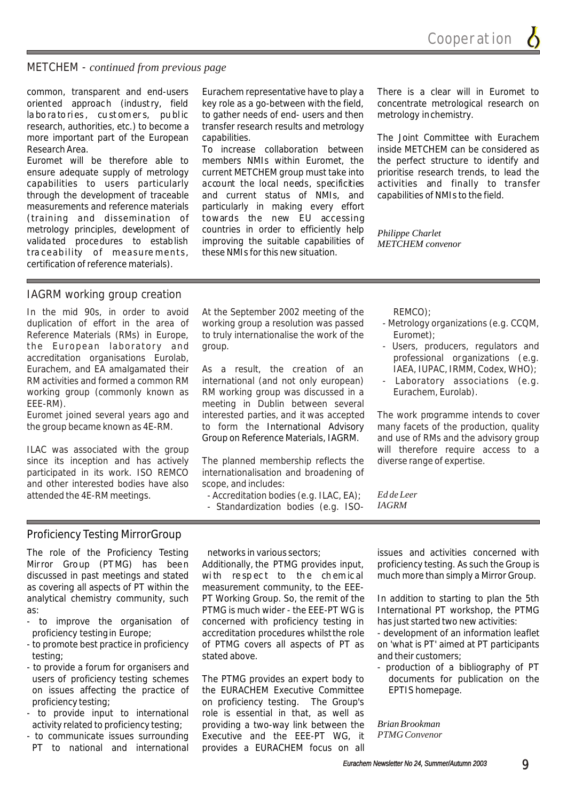METCHEM - *continued from previous page*

common, transparent and end-users Eurachem representative have to play a There is a clear will in Euromet to oriented approach (industry, field key role as a go-between with the field, concentrate metrological research on la bo ra to ries, cu st om er s, public to gather needs of end-users and then metrology in chemistry. research, authorities, etc.) to become a transfer research results and metrology more important part of the European capabilities. The Joint Committee with Eurachem

measurements and reference materials particularly in making every effort (training and dissemination of towards the new EU accessing tra ceability of measure ments, certification of reference materials).

members NMIs within Euromet, the the perfect structure to identify and current METCHEM group must take into prioritise research trends, to lead the ensure adequate supply of metrology current METCHEM group must take into prioritise research trends, to lead the capabilities to users particularly account the local needs, specificities activities and finally to transfer through the development of traceable and current status of NMIs, and capabilities of NMIs to the field. metrology principles, development of countries in order to efficiently help *Philippe Charlet* validated procedures to establish improving the suitable capabilities of *METCHEM convenor* improving the suitable capabilities of these NMIs for this new situation.

Research Area. To increase collaboration between inside METCHEM can be considered as<br>Euromet will be therefore able to members NMIs within Euromet, the the perfect structure to identify and

#### IAGRM working group creation

In the mid 90s, in order to avoid At the September 2002 meeting of the REMCO); duplication of effort in the area of working group a resolution was passed - Metrology organizations (e.g. CCQM, Reference Materials (RMs) in Europe, to truly internationalise the work of the Euromet); the European laboratory and group.  $\blacksquare$  The Users, producers, regulators and accreditation organisations Eurolab, professional organizations (e.g. Eurachem, and EA amalgamated their As a result, the creation of an IAEA, IUPAC, IRMM, Codex, WHO); RM activities and formed a common RM international (and not only european) - Laboratory associations (e.g. working group (commonly known as RM working group was discussed in a Eurachem, Eurolab).

participated in its work. ISO REMCO internationalisation and broadening of and other interested bodies have also scope, and includes:

EEE-RM).<br>Euromet ioined several vears ago and interested parties, and it was accepted Euromet joined several years ago and interested parties, and it was accepted The work programme intends to cover the group became known as 4E-RM. to form the International Advisory many facets of the production, quality to form the International Advisory Group on Reference Materials, IAGRM.

since its inception and has actively The planned membership reflects the diverse range of expertise.

- attended the 4E-RM meetings.<br>- Accreditation bodies (e.g. ILAC, EA); *Ed de Leer*<br>- Standardization bodies (e.g. ISO, *IAGRM* 
	- Standardization bodies (e.g. ISO-

- 
- 
- 

and use of RMs and the advisory group ILAC was associated with the group will therefore require access to a

#### Proficiency Testing MirrorGroup

The role of the Proficiency Testing networks in various sectors; issues and activities concerned with Mirror Group (PTMG) has been Additionally, the PTMG provides input, proficiency testing. As such the Group is discussed in past meetings and stated with respect to the chemical much more than simply a Mirror Group. as covering all aspects of PT within the measurement community, to the EEEanalytical chemistry community, such PT Working Group. So, the remit of the In addition to starting to plan the 5th as: PTMG is much wider - the EEE-PT WG is International PT workshop, the PTMG

- 
- 
- to provide a forum for organisers and  $\blacksquare$  production of a bibliography of PT
- 
- 

- to improve the organisation of concerned with proficiency testing in has just started two new activities: proficiency testing in Europe; accreditation procedures whilst the role - development of an information leaflet - to promote best practice in proficiency of PTMG covers all aspects of PT as on 'what is PT' aimed at PT participants testing; the stated above. The stated above. The stated above. And their customers;

users of proficiency testing schemes The PTMG provides an expert body to documents for publication on the on issues affecting the practice of the EURACHEM Executive Committee EPTIS homepage. proficiency testing; on proficiency testing. The Group's - to provide input to international role is essential in that, as well as activity related to proficiency testing; providing a two-way link between the *Brian Brookman* - to communicate issues surrounding Executive and the EEE-PT WG, it<br>PT to national and international provides a FURACHEM focus on all provides a EURACHEM focus on all

*PTMG Convenor*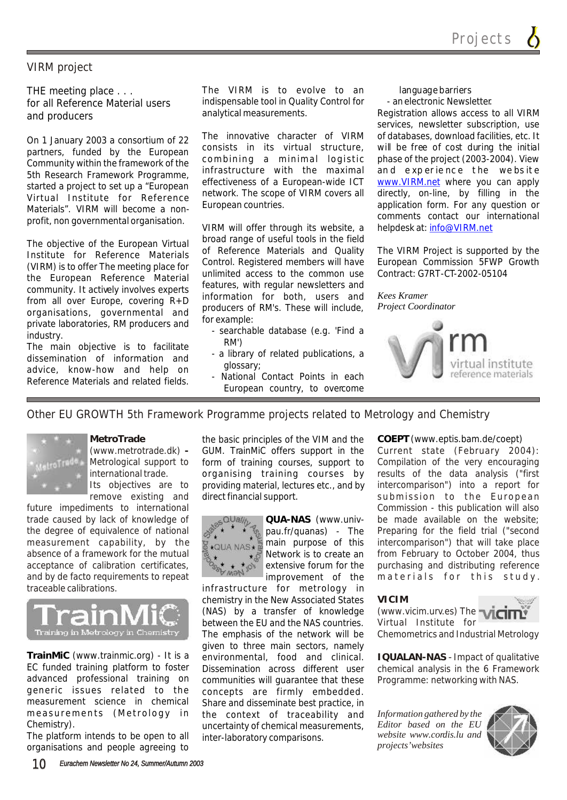#### VIRM project

for all Reference Material users indispensable tool in Qualities and producers. The electronic and analytical measurements.

5th Research Framework Programme, Infrastructure with the maximal and the search Framework Programme, Infrastructure with the maximal Materials". VIRM will become a non-<br>
European countries. The materials of any question or Materials of Materials of Materials of Materials of Materials of Materials of Materials of Materials of Materials of Materials of Ma profit, non governmental organisation.

the European Reference Material unlimited access to the common use<br>community it estimble involves synaric features, with regular newsletters and community. It actively involves experts reatures, with regular newsletters and community. It actively involves experts information for both, users and producers of **producers** organisations, governmental and **Producers** or private laboratories, RM producers and  $\frac{101 \text{ example}}{\text{searchable database (e.g. 'Find a}}$ <br>
The main objective is to facilitate RM')<br>
discomination of information and  $\frac{1}{2}$  a library of related publications, a

dissemination of information and  $\frac{1}{2}$  a library of information and  $\frac{1}{2}$  a dissary; advice, know-how and help on Reference Materials and related fields and related fields and related fields and related fields and related fields

THE meeting place . . . The VIRM is to evolve to an languagebarriers

On 1 January 2003 a consortium of 22 The innovative character of VIRM of databases, download facilities, etc. It<br>Consists in its virtual structure, will be free of cost during the initial on Foundary 2009 a consolution of 22<br>partners, funded by the European consists in its virtual structure, will be free of cost during the initial partners, funded by the European combining a minimal logistic phase of the pr Community within the framework of the combining a minimal logistic phase of the project (2003-2004). View<br>Eth Posearch Framework Programme infrastructure with the maximal and experience the website started a project to set up a "European effectiveness or a European-wide ICT www.vikivi.net where you can apply<br>Virtual Jactitute for Peference network. The scope of VIRM covers all directly, on-line, by filling in the Virtual Institute for Reference Detwork. The scope of VIRM covers all directly, on-line, by filling in the Virtual Institute for Reference European countries.

VIRM will offer through its website, a The objective of the European Virtual broad range of useful tools in the field<br>Institute for Deference Materiale of Reference Materials and Quality Incredigence of the European Virtual of Reference Materials and Quality The VIRM Project is supported by the Institute for Reference Materials of Reference Materials and Quality The VIRM Project is supported by the Institu CONTRIPUTE: CONTROL REGISTER MEMBERS WILLIAM EQUIPEAN COMMISSION 5FWP<br>The European Peference Meterial unlimited access to the common use Contract: G7RT-CT-2002-05104 From all over Europe, covering R+D<br>from all over Europe, covering R+D<br>producers of RM's. These will include. *Project Coordinator* 

- 
- 
- European country, to overcome

and producers analytical measurements. Registration allows access to all VIRM services, newsletter subscription, use www.VIRM.net where you can apply helpdesk at: info@VIRM.net



Other EU GROWTH 5th Framework Programme projects related to Metrology and Chemistry



**MetroTrade**

future impediments to international Commission - this publication will also trade caused by lack of knowledge of **be a cultured available** on the website; the degree of equivalence of national  $\mathbb{R}^*$   $\mathbb{R}^*$  pau.fr/quanas) - The Preparing for the field trial ("second measurement capability, by the  $\mathbb{R}_{\geq 0}$  is main purpose of this intercomparison") that will take place absence of a framework for the mutual  $\frac{1}{2}$   $\frac{1}{2}$  Network is to create an from February to October 2004, thus acceptance of calibration certificates,  $\mathcal{P}_{\text{out}} + \mathcal{P}_{\text{out}}$  extensive forum for the purchasing and distributing reference and by de facto requirements to repeat **materials** improvement of the materials for this study. traceable calibrations.



TrainMiC (www.trainmic.org) - It is a environmental, food and clinical.<br>EC funded training platform to foster Dissemination across different user EC funded training platform to foster Dissemination across different user advanced professional training on communities will quarantee that these advanced professional training on communities will guarantee that these<br>generic issues related to the concepts are firmly embedded. generic issues related to the concepts are firmly embedded.<br>measurement science in chemical Share-and-disseminate-best-practice in measurement science in chemical Share and disseminate best practice, in<br>measurements (Metrology in the context of traceability and

The platform intends to be open to all inter-laboratory comparisons. organisations and people agreeing to

(www.metrotrade.dk) - GUM. TrainMiC offers support in the Current state (February 2004): Metrological support to if orm of training courses, support to Compilation of the very encouraging international trade. The organising training courses by results of the data analysis ("first Its objectives are to providing material, lectures etc., and by intercomparison") into a report for remove existing and direct financial support. Submission to the European the basic principles of the VIM and the **COEPT** (www.eptis.bam.de/coept) direct financial support.



**QUA-NAS** (www.univpau.fr/quanas) - The main purpose of this Network is to create an extensive forum for the improvement of the

infrastructure for metrology in chemistry in the New Associated States (NAS) by a transfer of knowledge between the EU and the NAS countries. The emphasis of the network will be given to three main sectors, namely the context of traceability and Chemistry). uncertainty of chemical measurements,

#### **VICIM**



**IQUALAN-NAS** - Impact of qualitative chemical analysis in the 6 Framework Programme: networking with NAS.

*Information gathered by the Editor based on the EU website www.cordis.lu and projects' websites*

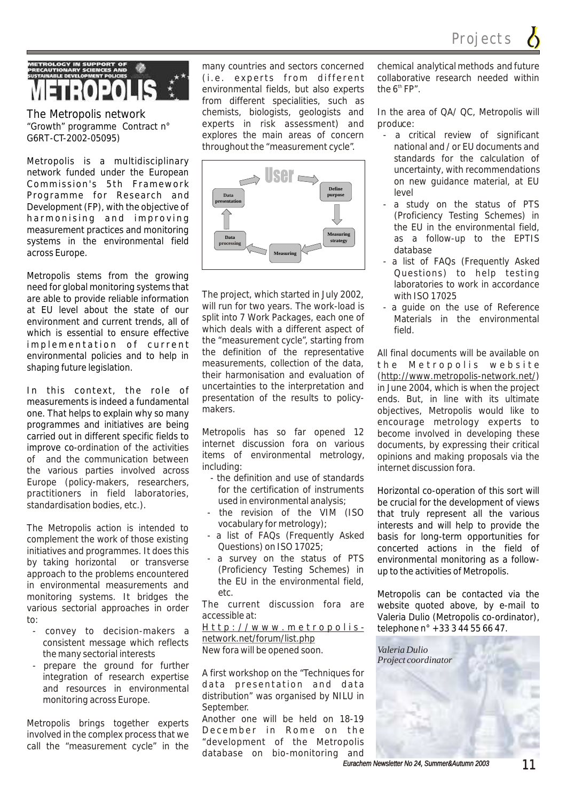Projects

# Metropolis {

The Metropolis network "Growth" programme Contract n° G6RT-CT-2002-05095)

Metropolis is a multidisciplinary network funded under the European Commission's 5th Framework Programme for Research and Development (FP), with the objective of harmonising and improving measurement practices and monitoring systems in the environmental field across Europe.

Metropolis stems from the growing need for global monitoring systems that are able to provide reliable information at EU level about the state of our environment and current trends, all of which is essential to ensure effective implementation of current environmental policies and to help in shaping future legislation.

In this context, the role of measurements is indeed a fundamental one. That helps to explain why so many programmes and initiatives are being carried out in different specific fields to improve co-ordination of the activities in prove se cramation of the activities<br>of and the communication between the communication between the communication between<br>including:<br>internet discussion for a the various parties involved across  $\frac{including}{}$ .<br>Formar (active materials parameters) the definition and use of standards Europe (policy-makers, researchers, the definition and use of standards<br>For the certification of instruments for the certification of instrumental analysis:<br>the density hadies at a state of the state of the certification of instrumental analysis: standardisation bodies, etc.).

The Metropolis action is intended to vocabulary for metrology);<br>complement the work of these existing  $\frac{1}{2}$  a list of FAQs (Frequently Asked  $\frac{1}{2}$  complement the work of those existing complement the work of those existing completions) on ISO 17025: initiatives and programmes. It does this Uuestions) on ISO 17025;<br>by taking berizontal or transverse - a survey on the status of PTS by taking horizontal or transverse by taking horizontal or transverse by taking schemes) in approach to the problems encountered (Proficiency Testing Schemes) in approach to the problems encountered the EU in the environmental field. in environmental measurements and the environmental measurements and the etc. monitoring systems. It bridges the etc.<br>verious sectorial approaches in order. The current discussion fora are various sectorial approaches in order accessible at:<br>to:

- consistent message which reflects<br>the manuscriptivity reflects were new form will be opened soon. the many sectorial interests
- prepare the ground for further

involved in the complex process that we becompler in Rome on the coll the "development of the Metropolis" call the "measurement cycle" in the

(i.e. experts from different collaborative research needed within environmental fields but also experts the  $6<sup>th</sup> FP''$ environmental fields, but also experts from different specialities, such as chemists, biologists, geologists and In the area of QA/ QC, Metropolis will experts in risk assessment) and produce: explores the main areas of concern - a critical review of significant throughout the "measurement cycle". national and / or EU documents and



The project, which started in July 2002, with ISO 17025 will run for two years. The work-load is  $-$  a guide on the use of Reference split into 7 Work Packages, each one of Materials in the environmental which deals with a different aspect of field which deals with a different aspect of the "measurement cycle", starting from the definition of the representative All final documents will be available on measurements, collection of the data.  $\mathbf{t} \cdot \mathbf{h} = \mathbf{M} \cdot \mathbf{h} \cdot \mathbf{r} \cdot \mathbf{n} \cdot \mathbf{n} \cdot \mathbf{n} \cdot \mathbf{n} \cdot \mathbf{n} \cdot \mathbf{n} \cdot \mathbf{n} \cdot \mathbf{n} \cdot \mathbf{n} \cdot \math$ measurements, collection of the data, the Metropolis website<br>their harmonisation and evaluation of (http://www.metropolis-petwork.net/) their harmonisation and evaluation of (http://www.metropolis-network.net/)<br>uncertainties to the interpretation and in lune 2004 which is when the project uncertainties to the interpretation and in June 2004, which is when the project presentation of the results to policy- ends. But, in line with its ultimate<br>makers. Metropolis would like to

internet discussion fora on various documents, by expressing their critical items of environmental metrology, opinions and making proposals via the

- 
- the revision of the VIM (ISO
- 
- 

-<br>convey to decision-makers a  $\frac{Http://www.metropolis-}{Http://www.metforum/}$ 

A first workshop on the "Techniques for integration of research expertise and resources in environmental data presentation and data distribution" was organised by NILU in monitoring across Europe. September.

Metropolis brings together experts Another one will be held on 18-19<br>method in the complements that December in Rome on the database on bio-monitoring and

many countries and sectors concerned chemical analytical methods and future

- standards for the calculation of uncertainty, with recommendations on new guidance material, at EU level
- a study on the status of PTS (Proficiency Testing Schemes) in the EU in the environmental field, as a follow-up to the EPTIS database
- a list of FAQs (Frequently Asked Questions) to help testing laboratories to work in accordance
- 

objectives, Metropolis would like to encourage metrology experts to Metropolis has so far opened 12 become involved in developing these internet discussion fora on various documents by expressing their critical

> Horizontal co-operation of this sort will be crucial for the development of views that truly represent all the various interests and will help to provide the basis for long-term opportunities for concerted actions in the field of environmental monitoring as a followup to the activities of Metropolis.

> Metropolis can be contacted via the website quoted above, by e-mail to Valeria Dulio (Metropolis co-ordinator), telephone n° +33 3 44 55 66 47.

*Valeria Dulio Project coordinator*

*Eurachem Newsletter No 24, Summer&Autumn 2003 11*